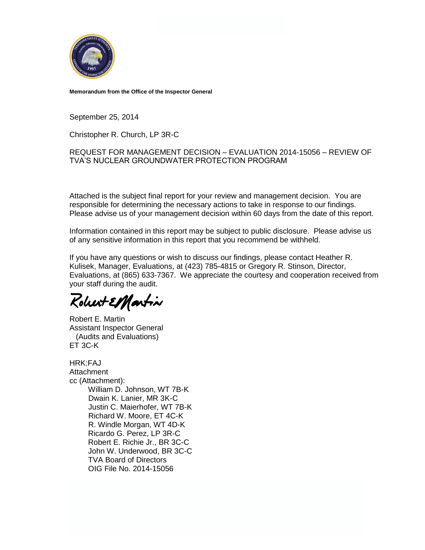

**Memorandum from the Office of the Inspector General**

September 25, 2014

Christopher R. Church, LP 3R-C

#### REQUEST FOR MANAGEMENT DECISION – EVALUATION 2014-15056 – REVIEW OF TVA'S NUCLEAR GROUNDWATER PROTECTION PROGRAM

Attached is the subject final report for your review and management decision. You are responsible for determining the necessary actions to take in response to our findings. Please advise us of your management decision within 60 days from the date of this report.

Information contained in this report may be subject to public disclosure. Please advise us of any sensitive information in this report that you recommend be withheld.

If you have any questions or wish to discuss our findings, please contact Heather R. Kulisek, Manager, Evaluations, at (423) 785-4815 or Gregory R. Stinson, Director, Evaluations, at (865) 633-7367. We appreciate the courtesy and cooperation received from your staff during the audit.

Robert ElHartin

Robert E. Martin Assistant Inspector General (Audits and Evaluations) ET 3C-K

HRK:FAJ Attachment cc (Attachment): William D. Johnson, WT 7B-K Dwain K. Lanier, MR 3K-C Justin C. Maierhofer, WT 7B-K Richard W. Moore, ET 4C-K R. Windle Morgan, WT 4D-K Ricardo G. Perez, LP 3R-C Robert E. Richie Jr., BR 3C-C John W. Underwood, BR 3C-C TVA Board of Directors OIG File No. 2014-15056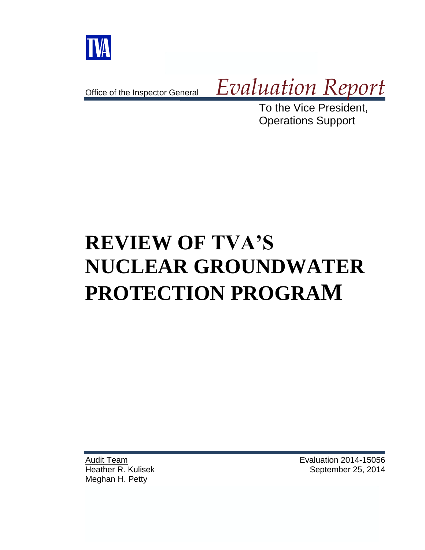

Office of the Inspector General

*Evaluation Report*

To the Vice President, Operations Support

# **REVIEW OF TVA'S NUCLEAR GROUNDWATER PROTECTION PROGRAM**

Audit Team Heather R. Kulisek Meghan H. Petty

Evaluation 2014-15056 September 25, 2014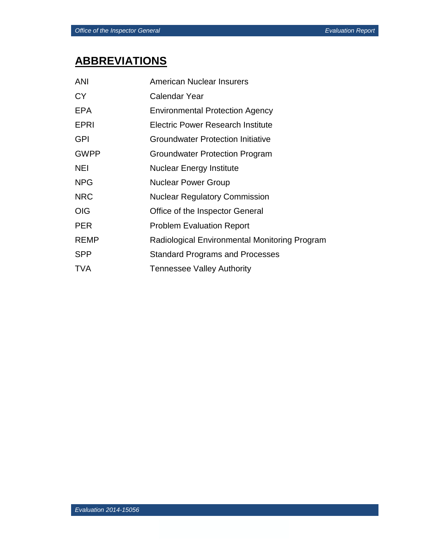# **ABBREVIATIONS**

| <b>ANI</b>  | American Nuclear Insurers                     |
|-------------|-----------------------------------------------|
| <b>CY</b>   | <b>Calendar Year</b>                          |
| <b>EPA</b>  | <b>Environmental Protection Agency</b>        |
| <b>EPRI</b> | Electric Power Research Institute             |
| <b>GPI</b>  | <b>Groundwater Protection Initiative</b>      |
| <b>GWPP</b> | Groundwater Protection Program                |
| <b>NEI</b>  | Nuclear Energy Institute                      |
| <b>NPG</b>  | <b>Nuclear Power Group</b>                    |
| <b>NRC</b>  | <b>Nuclear Regulatory Commission</b>          |
| <b>OIG</b>  | Office of the Inspector General               |
| <b>PER</b>  | <b>Problem Evaluation Report</b>              |
| <b>REMP</b> | Radiological Environmental Monitoring Program |
| <b>SPP</b>  | <b>Standard Programs and Processes</b>        |
| <b>TVA</b>  | <b>Tennessee Valley Authority</b>             |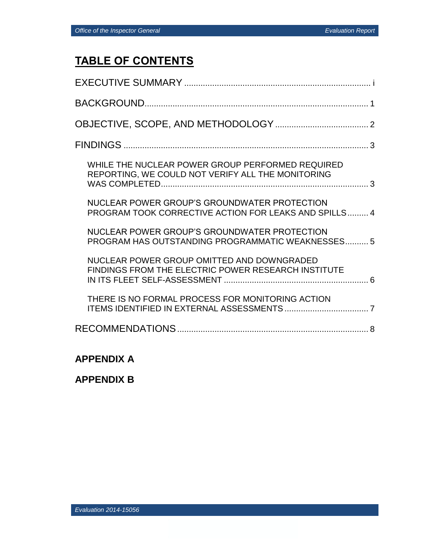# **TABLE OF CONTENTS**

| WHILE THE NUCLEAR POWER GROUP PERFORMED REQUIRED<br>REPORTING, WE COULD NOT VERIFY ALL THE MONITORING |
|-------------------------------------------------------------------------------------------------------|
| NUCLEAR POWER GROUP'S GROUNDWATER PROTECTION<br>PROGRAM TOOK CORRECTIVE ACTION FOR LEAKS AND SPILLS 4 |
| NUCLEAR POWER GROUP'S GROUNDWATER PROTECTION<br>PROGRAM HAS OUTSTANDING PROGRAMMATIC WEAKNESSES 5     |
| NUCLEAR POWER GROUP OMITTED AND DOWNGRADED<br>FINDINGS FROM THE ELECTRIC POWER RESEARCH INSTITUTE     |
| THERE IS NO FORMAL PROCESS FOR MONITORING ACTION                                                      |
|                                                                                                       |

## **APPENDIX A**

**APPENDIX B**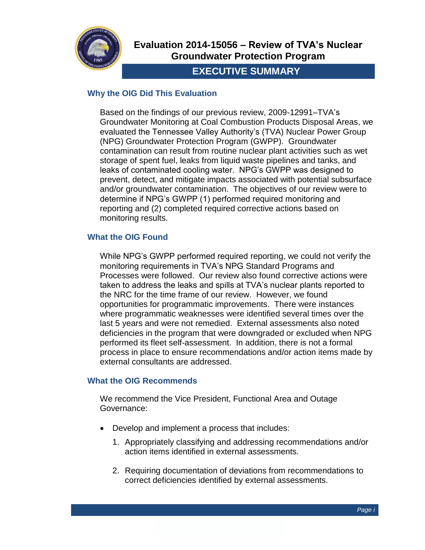

# **Evaluation 2014-15056 – Review of TVA's Nuclear Groundwater Protection Program**

# **EXECUTIVE SUMMARY**

## **Why the OIG Did This Evaluation**

Based on the findings of our previous review, 2009-12991–TVA's Groundwater Monitoring at Coal Combustion Products Disposal Areas, we evaluated the Tennessee Valley Authority's (TVA) Nuclear Power Group (NPG) Groundwater Protection Program (GWPP). Groundwater contamination can result from routine nuclear plant activities such as wet storage of spent fuel, leaks from liquid waste pipelines and tanks, and leaks of contaminated cooling water. NPG's GWPP was designed to prevent, detect, and mitigate impacts associated with potential subsurface and/or groundwater contamination. The objectives of our review were to determine if NPG's GWPP (1) performed required monitoring and reporting and (2) completed required corrective actions based on monitoring results.

## **What the OIG Found**

While NPG's GWPP performed required reporting, we could not verify the monitoring requirements in TVA's NPG Standard Programs and Processes were followed. Our review also found corrective actions were taken to address the leaks and spills at TVA's nuclear plants reported to the NRC for the time frame of our review. However, we found opportunities for programmatic improvements. There were instances where programmatic weaknesses were identified several times over the last 5 years and were not remedied. External assessments also noted deficiencies in the program that were downgraded or excluded when NPG performed its fleet self-assessment. In addition, there is not a formal process in place to ensure recommendations and/or action items made by external consultants are addressed.

## **What the OIG Recommends**

We recommend the Vice President, Functional Area and Outage Governance:

- Develop and implement a process that includes:
	- 1. Appropriately classifying and addressing recommendations and/or action items identified in external assessments.
	- 2. Requiring documentation of deviations from recommendations to correct deficiencies identified by external assessments.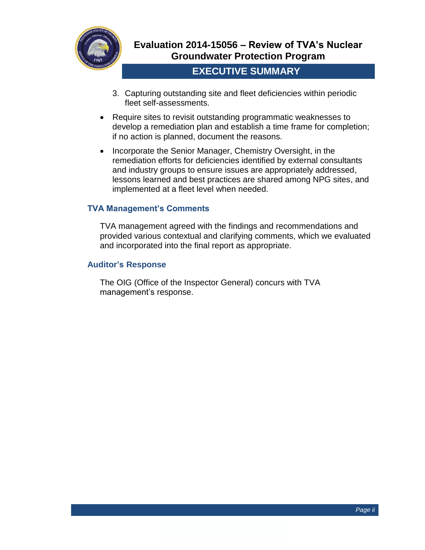

# **EXECUTIVE SUMMARY**

- 3. Capturing outstanding site and fleet deficiencies within periodic fleet self-assessments.
- Require sites to revisit outstanding programmatic weaknesses to develop a remediation plan and establish a time frame for completion; if no action is planned, document the reasons.
- Incorporate the Senior Manager, Chemistry Oversight, in the remediation efforts for deficiencies identified by external consultants and industry groups to ensure issues are appropriately addressed, lessons learned and best practices are shared among NPG sites, and implemented at a fleet level when needed.

## **TVA Management's Comments**

TVA management agreed with the findings and recommendations and provided various contextual and clarifying comments, which we evaluated and incorporated into the final report as appropriate.

#### **Auditor's Response**

The OIG (Office of the Inspector General) concurs with TVA management's response.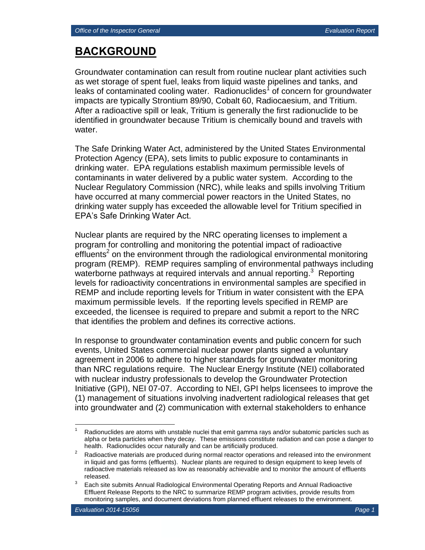# **BACKGROUND**

Groundwater contamination can result from routine nuclear plant activities such as wet storage of spent fuel, leaks from liquid waste pipelines and tanks, and leaks of contaminated cooling water. Radionuclides<sup>1</sup> of concern for groundwater impacts are typically Strontium 89/90, Cobalt 60, Radiocaesium, and Tritium. After a radioactive spill or leak, Tritium is generally the first radionuclide to be identified in groundwater because Tritium is chemically bound and travels with water.

The Safe Drinking Water Act, administered by the United States Environmental Protection Agency (EPA), sets limits to public exposure to contaminants in drinking water. EPA regulations establish maximum permissible levels of contaminants in water delivered by a public water system. According to the Nuclear Regulatory Commission (NRC), while leaks and spills involving Tritium have occurred at many commercial power reactors in the United States, no drinking water supply has exceeded the allowable level for Tritium specified in EPA's Safe Drinking Water Act.

Nuclear plants are required by the NRC operating licenses to implement a program for controlling and monitoring the potential impact of radioactive  $\text{eff}$  central on the environment through the radiological environmental monitoring program (REMP). REMP requires sampling of environmental pathways including waterborne pathways at required intervals and annual reporting.<sup>3</sup> Reporting levels for radioactivity concentrations in environmental samples are specified in REMP and include reporting levels for Tritium in water consistent with the EPA maximum permissible levels. If the reporting levels specified in REMP are exceeded, the licensee is required to prepare and submit a report to the NRC that identifies the problem and defines its corrective actions.

In response to groundwater contamination events and public concern for such events, United States commercial nuclear power plants signed a voluntary agreement in 2006 to adhere to higher standards for groundwater monitoring than NRC regulations require. The Nuclear Energy Institute (NEI) collaborated with nuclear industry professionals to develop the Groundwater Protection Initiative (GPI), NEI 07-07. According to NEI, GPI helps licensees to improve the (1) management of situations involving inadvertent radiological releases that get into groundwater and (2) communication with external stakeholders to enhance

 $\overline{a}$ 

Radionuclides are atoms with unstable nuclei that emit gamma rays and/or subatomic particles such as alpha or beta particles when they decay. These emissions constitute radiation and can pose a danger to health. Radionuclides occur naturally and can be artificially produced.

 $2^2$  Radioactive materials are produced during normal reactor operations and released into the environment in liquid and gas forms (effluents). Nuclear plants are required to design equipment to keep levels of radioactive materials released as low as reasonably achievable and to monitor the amount of effluents released.

<sup>3</sup> Each site submits Annual Radiological Environmental Operating Reports and Annual Radioactive Effluent Release Reports to the NRC to summarize REMP program activities, provide results from monitoring samples, and document deviations from planned effluent releases to the environment.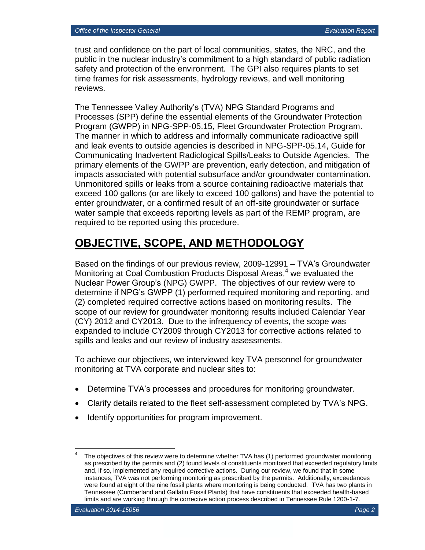trust and confidence on the part of local communities, states, the NRC, and the public in the nuclear industry's commitment to a high standard of public radiation safety and protection of the environment. The GPI also requires plants to set time frames for risk assessments, hydrology reviews, and well monitoring reviews.

The Tennessee Valley Authority's (TVA) NPG Standard Programs and Processes (SPP) define the essential elements of the Groundwater Protection Program (GWPP) in NPG-SPP-05.15, Fleet Groundwater Protection Program. The manner in which to address and informally communicate radioactive spill and leak events to outside agencies is described in NPG-SPP-05.14, Guide for Communicating Inadvertent Radiological Spills/Leaks to Outside Agencies. The primary elements of the GWPP are prevention, early detection, and mitigation of impacts associated with potential subsurface and/or groundwater contamination. Unmonitored spills or leaks from a source containing radioactive materials that exceed 100 gallons (or are likely to exceed 100 gallons) and have the potential to enter groundwater, or a confirmed result of an off-site groundwater or surface water sample that exceeds reporting levels as part of the REMP program, are required to be reported using this procedure.

# **OBJECTIVE, SCOPE, AND METHODOLOGY**

Based on the findings of our previous review, 2009-12991 – TVA's Groundwater Monitoring at Coal Combustion Products Disposal Areas,<sup>4</sup> we evaluated the Nuclear Power Group's (NPG) GWPP. The objectives of our review were to determine if NPG's GWPP (1) performed required monitoring and reporting, and (2) completed required corrective actions based on monitoring results. The scope of our review for groundwater monitoring results included Calendar Year (CY) 2012 and CY2013. Due to the infrequency of events, the scope was expanded to include CY2009 through CY2013 for corrective actions related to spills and leaks and our review of industry assessments.

To achieve our objectives, we interviewed key TVA personnel for groundwater monitoring at TVA corporate and nuclear sites to:

- Determine TVA's processes and procedures for monitoring groundwater.
- Clarify details related to the fleet self-assessment completed by TVA's NPG.
- Identify opportunities for program improvement.

 $\overline{a}$ 4 The objectives of this review were to determine whether TVA has (1) performed groundwater monitoring as prescribed by the permits and (2) found levels of constituents monitored that exceeded regulatory limits and, if so, implemented any required corrective actions. During our review, we found that in some instances, TVA was not performing monitoring as prescribed by the permits. Additionally, exceedances were found at eight of the nine fossil plants where monitoring is being conducted. TVA has two plants in Tennessee (Cumberland and Gallatin Fossil Plants) that have constituents that exceeded health-based limits and are working through the corrective action process described in Tennessee Rule 1200-1-7.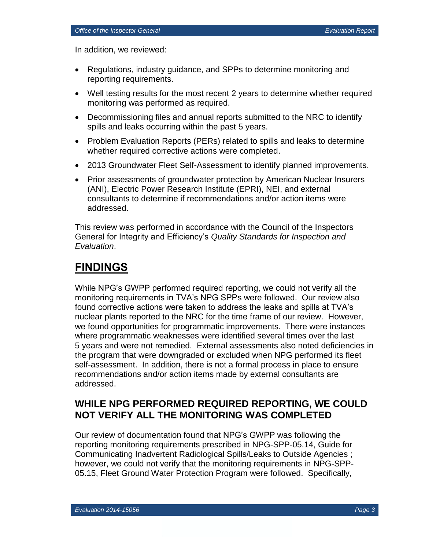In addition, we reviewed:

- Regulations, industry guidance, and SPPs to determine monitoring and reporting requirements.
- Well testing results for the most recent 2 years to determine whether required monitoring was performed as required.
- Decommissioning files and annual reports submitted to the NRC to identify spills and leaks occurring within the past 5 years.
- Problem Evaluation Reports (PERs) related to spills and leaks to determine whether required corrective actions were completed.
- 2013 Groundwater Fleet Self-Assessment to identify planned improvements.
- Prior assessments of groundwater protection by American Nuclear Insurers (ANI), Electric Power Research Institute (EPRI), NEI, and external consultants to determine if recommendations and/or action items were addressed.

This review was performed in accordance with the Council of the Inspectors General for Integrity and Efficiency's *Quality Standards for Inspection and Evaluation*.

# **FINDINGS**

While NPG's GWPP performed required reporting, we could not verify all the monitoring requirements in TVA's NPG SPPs were followed. Our review also found corrective actions were taken to address the leaks and spills at TVA's nuclear plants reported to the NRC for the time frame of our review. However, we found opportunities for programmatic improvements. There were instances where programmatic weaknesses were identified several times over the last 5 years and were not remedied. External assessments also noted deficiencies in the program that were downgraded or excluded when NPG performed its fleet self-assessment. In addition, there is not a formal process in place to ensure recommendations and/or action items made by external consultants are addressed.

# **WHILE NPG PERFORMED REQUIRED REPORTING, WE COULD NOT VERIFY ALL THE MONITORING WAS COMPLETED**

Our review of documentation found that NPG's GWPP was following the reporting monitoring requirements prescribed in NPG-SPP-05.14, Guide for Communicating Inadvertent Radiological Spills/Leaks to Outside Agencies ; however, we could not verify that the monitoring requirements in NPG-SPP-05.15, Fleet Ground Water Protection Program were followed. Specifically,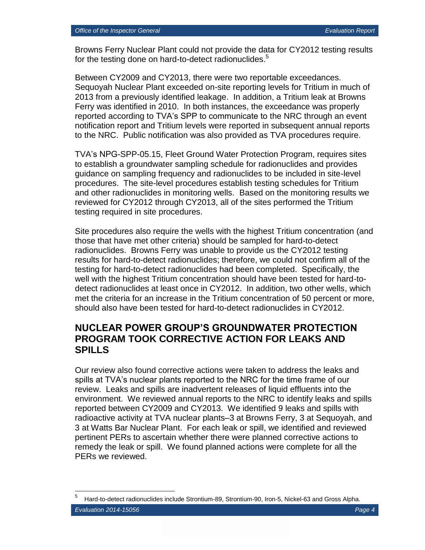Browns Ferry Nuclear Plant could not provide the data for CY2012 testing results for the testing done on hard-to-detect radionuclides.<sup>5</sup>

Between CY2009 and CY2013, there were two reportable exceedances. Sequoyah Nuclear Plant exceeded on-site reporting levels for Tritium in much of 2013 from a previously identified leakage. In addition, a Tritium leak at Browns Ferry was identified in 2010. In both instances, the exceedance was properly reported according to TVA's SPP to communicate to the NRC through an event notification report and Tritium levels were reported in subsequent annual reports to the NRC. Public notification was also provided as TVA procedures require.

TVA's NPG-SPP-05.15, Fleet Ground Water Protection Program, requires sites to establish a groundwater sampling schedule for radionuclides and provides guidance on sampling frequency and radionuclides to be included in site-level procedures. The site-level procedures establish testing schedules for Tritium and other radionuclides in monitoring wells. Based on the monitoring results we reviewed for CY2012 through CY2013, all of the sites performed the Tritium testing required in site procedures.

Site procedures also require the wells with the highest Tritium concentration (and those that have met other criteria) should be sampled for hard-to-detect radionuclides. Browns Ferry was unable to provide us the CY2012 testing results for hard-to-detect radionuclides; therefore, we could not confirm all of the testing for hard-to-detect radionuclides had been completed. Specifically, the well with the highest Tritium concentration should have been tested for hard-todetect radionuclides at least once in CY2012. In addition, two other wells, which met the criteria for an increase in the Tritium concentration of 50 percent or more, should also have been tested for hard-to-detect radionuclides in CY2012.

## **NUCLEAR POWER GROUP'S GROUNDWATER PROTECTION PROGRAM TOOK CORRECTIVE ACTION FOR LEAKS AND SPILLS**

Our review also found corrective actions were taken to address the leaks and spills at TVA's nuclear plants reported to the NRC for the time frame of our review. Leaks and spills are inadvertent releases of liquid effluents into the environment. We reviewed annual reports to the NRC to identify leaks and spills reported between CY2009 and CY2013. We identified 9 leaks and spills with radioactive activity at TVA nuclear plants–3 at Browns Ferry, 3 at Sequoyah, and 3 at Watts Bar Nuclear Plant. For each leak or spill, we identified and reviewed pertinent PERs to ascertain whether there were planned corrective actions to remedy the leak or spill. We found planned actions were complete for all the PERs we reviewed.

 $\overline{a}$ 

<sup>5</sup> Hard-to-detect radionuclides include Strontium-89, Strontium-90, Iron-5, Nickel-63 and Gross Alpha.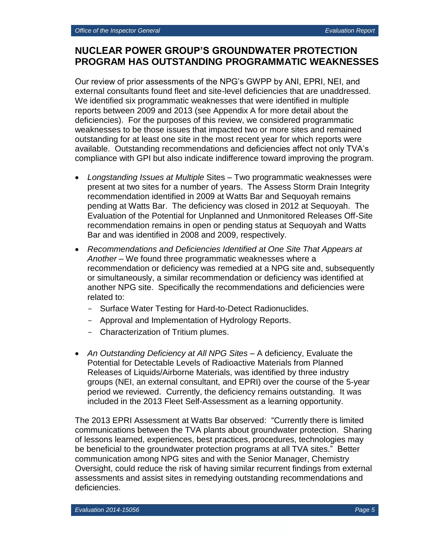# **NUCLEAR POWER GROUP'S GROUNDWATER PROTECTION PROGRAM HAS OUTSTANDING PROGRAMMATIC WEAKNESSES**

Our review of prior assessments of the NPG's GWPP by ANI, EPRI, NEI, and external consultants found fleet and site-level deficiencies that are unaddressed. We identified six programmatic weaknesses that were identified in multiple reports between 2009 and 2013 (see Appendix A for more detail about the deficiencies). For the purposes of this review, we considered programmatic weaknesses to be those issues that impacted two or more sites and remained outstanding for at least one site in the most recent year for which reports were available. Outstanding recommendations and deficiencies affect not only TVA's compliance with GPI but also indicate indifference toward improving the program.

- *Longstanding Issues at Multiple* Sites Two programmatic weaknesses were present at two sites for a number of years. The Assess Storm Drain Integrity recommendation identified in 2009 at Watts Bar and Sequoyah remains pending at Watts Bar. The deficiency was closed in 2012 at Sequoyah. The Evaluation of the Potential for Unplanned and Unmonitored Releases Off-Site recommendation remains in open or pending status at Sequoyah and Watts Bar and was identified in 2008 and 2009, respectively.
- *Recommendations and Deficiencies Identified at One Site That Appears at Another –* We found three programmatic weaknesses where a recommendation or deficiency was remedied at a NPG site and, subsequently or simultaneously, a similar recommendation or deficiency was identified at another NPG site. Specifically the recommendations and deficiencies were related to:
	- Surface Water Testing for Hard-to-Detect Radionuclides.
	- Approval and Implementation of Hydrology Reports.
	- Characterization of Tritium plumes.
- *An Outstanding Deficiency at All NPG Sites –* A deficiency, Evaluate the Potential for Detectable Levels of Radioactive Materials from Planned Releases of Liquids/Airborne Materials, was identified by three industry groups (NEI, an external consultant, and EPRI) over the course of the 5-year period we reviewed. Currently, the deficiency remains outstanding. It was included in the 2013 Fleet Self-Assessment as a learning opportunity.

The 2013 EPRI Assessment at Watts Bar observed: "Currently there is limited communications between the TVA plants about groundwater protection. Sharing of lessons learned, experiences, best practices, procedures, technologies may be beneficial to the groundwater protection programs at all TVA sites." Better communication among NPG sites and with the Senior Manager, Chemistry Oversight, could reduce the risk of having similar recurrent findings from external assessments and assist sites in remedying outstanding recommendations and deficiencies.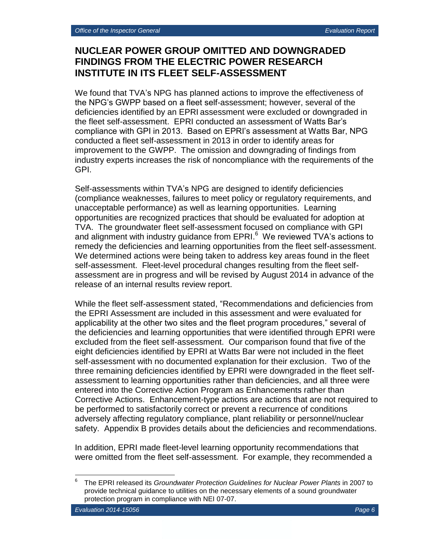# **NUCLEAR POWER GROUP OMITTED AND DOWNGRADED FINDINGS FROM THE ELECTRIC POWER RESEARCH INSTITUTE IN ITS FLEET SELF-ASSESSMENT**

We found that TVA's NPG has planned actions to improve the effectiveness of the NPG's GWPP based on a fleet self-assessment; however, several of the deficiencies identified by an EPRI assessment were excluded or downgraded in the fleet self-assessment. EPRI conducted an assessment of Watts Bar's compliance with GPI in 2013. Based on EPRI's assessment at Watts Bar, NPG conducted a fleet self-assessment in 2013 in order to identify areas for improvement to the GWPP. The omission and downgrading of findings from industry experts increases the risk of noncompliance with the requirements of the GPI.

Self-assessments within TVA's NPG are designed to identify deficiencies (compliance weaknesses, failures to meet policy or regulatory requirements, and unacceptable performance) as well as learning opportunities. Learning opportunities are recognized practices that should be evaluated for adoption at TVA. The groundwater fleet self-assessment focused on compliance with GPI and alignment with industry guidance from EPRI.<sup>6</sup> We reviewed TVA's actions to remedy the deficiencies and learning opportunities from the fleet self-assessment. We determined actions were being taken to address key areas found in the fleet self-assessment. Fleet-level procedural changes resulting from the fleet selfassessment are in progress and will be revised by August 2014 in advance of the release of an internal results review report.

While the fleet self-assessment stated, "Recommendations and deficiencies from the EPRI Assessment are included in this assessment and were evaluated for applicability at the other two sites and the fleet program procedures," several of the deficiencies and learning opportunities that were identified through EPRI were excluded from the fleet self-assessment. Our comparison found that five of the eight deficiencies identified by EPRI at Watts Bar were not included in the fleet self-assessment with no documented explanation for their exclusion. Two of the three remaining deficiencies identified by EPRI were downgraded in the fleet selfassessment to learning opportunities rather than deficiencies, and all three were entered into the Corrective Action Program as Enhancements rather than Corrective Actions. Enhancement-type actions are actions that are not required to be performed to satisfactorily correct or prevent a recurrence of conditions adversely affecting regulatory compliance, plant reliability or personnel/nuclear safety. Appendix B provides details about the deficiencies and recommendations.

In addition, EPRI made fleet-level learning opportunity recommendations that were omitted from the fleet self-assessment. For example, they recommended a

 $\overline{a}$ 

<sup>6</sup> The EPRI released its *Groundwater Protection Guidelines for Nuclear Power Plants* in 2007 to provide technical guidance to utilities on the necessary elements of a sound groundwater protection program in compliance with NEI 07-07.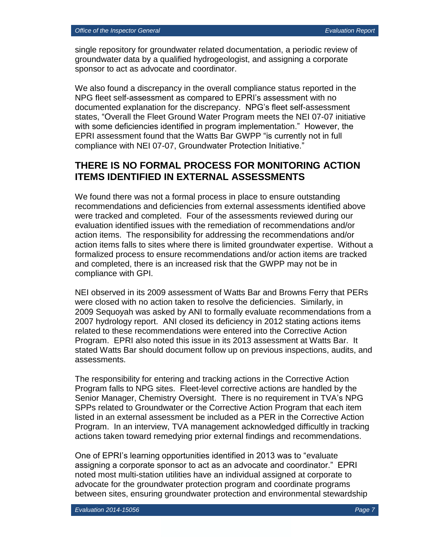single repository for groundwater related documentation, a periodic review of groundwater data by a qualified hydrogeologist, and assigning a corporate sponsor to act as advocate and coordinator.

We also found a discrepancy in the overall compliance status reported in the NPG fleet self-assessment as compared to EPRI's assessment with no documented explanation for the discrepancy. NPG's fleet self-assessment states, "Overall the Fleet Ground Water Program meets the NEI 07-07 initiative with some deficiencies identified in program implementation." However, the EPRI assessment found that the Watts Bar GWPP "is currently not in full compliance with NEI 07-07, Groundwater Protection Initiative."

## **THERE IS NO FORMAL PROCESS FOR MONITORING ACTION ITEMS IDENTIFIED IN EXTERNAL ASSESSMENTS**

We found there was not a formal process in place to ensure outstanding recommendations and deficiencies from external assessments identified above were tracked and completed. Four of the assessments reviewed during our evaluation identified issues with the remediation of recommendations and/or action items. The responsibility for addressing the recommendations and/or action items falls to sites where there is limited groundwater expertise. Without a formalized process to ensure recommendations and/or action items are tracked and completed, there is an increased risk that the GWPP may not be in compliance with GPI.

NEI observed in its 2009 assessment of Watts Bar and Browns Ferry that PERs were closed with no action taken to resolve the deficiencies. Similarly, in 2009 Sequoyah was asked by ANI to formally evaluate recommendations from a 2007 hydrology report. ANI closed its deficiency in 2012 stating actions items related to these recommendations were entered into the Corrective Action Program. EPRI also noted this issue in its 2013 assessment at Watts Bar. It stated Watts Bar should document follow up on previous inspections, audits, and assessments.

The responsibility for entering and tracking actions in the Corrective Action Program falls to NPG sites. Fleet-level corrective actions are handled by the Senior Manager, Chemistry Oversight. There is no requirement in TVA's NPG SPPs related to Groundwater or the Corrective Action Program that each item listed in an external assessment be included as a PER in the Corrective Action Program. In an interview, TVA management acknowledged difficultly in tracking actions taken toward remedying prior external findings and recommendations.

One of EPRI's learning opportunities identified in 2013 was to "evaluate assigning a corporate sponsor to act as an advocate and coordinator." EPRI noted most multi-station utilities have an individual assigned at corporate to advocate for the groundwater protection program and coordinate programs between sites, ensuring groundwater protection and environmental stewardship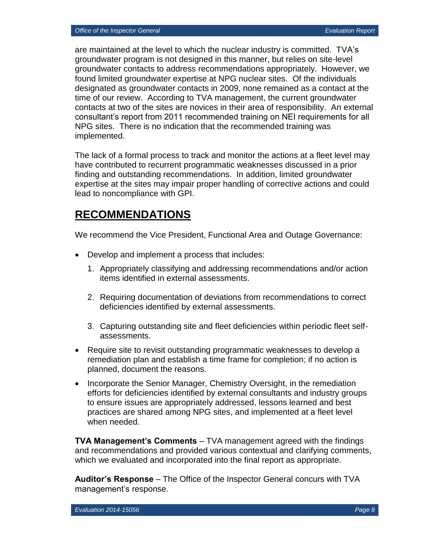are maintained at the level to which the nuclear industry is committed. TVA's groundwater program is not designed in this manner, but relies on site-level groundwater contacts to address recommendations appropriately. However, we found limited groundwater expertise at NPG nuclear sites. Of the individuals designated as groundwater contacts in 2009, none remained as a contact at the time of our review. According to TVA management, the current groundwater contacts at two of the sites are novices in their area of responsibility. An external consultant's report from 2011 recommended training on NEI requirements for all NPG sites. There is no indication that the recommended training was implemented.

The lack of a formal process to track and monitor the actions at a fleet level may have contributed to recurrent programmatic weaknesses discussed in a prior finding and outstanding recommendations. In addition, limited groundwater expertise at the sites may impair proper handling of corrective actions and could lead to noncompliance with GPI.

# **RECOMMENDATIONS**

We recommend the Vice President, Functional Area and Outage Governance:

- Develop and implement a process that includes:
	- 1. Appropriately classifying and addressing recommendations and/or action items identified in external assessments.
	- 2. Requiring documentation of deviations from recommendations to correct deficiencies identified by external assessments.
	- 3. Capturing outstanding site and fleet deficiencies within periodic fleet selfassessments.
- Require site to revisit outstanding programmatic weaknesses to develop a remediation plan and establish a time frame for completion; if no action is planned, document the reasons.
- Incorporate the Senior Manager, Chemistry Oversight, in the remediation efforts for deficiencies identified by external consultants and industry groups to ensure issues are appropriately addressed, lessons learned and best practices are shared among NPG sites, and implemented at a fleet level when needed.

**TVA Management's Comments** – TVA management agreed with the findings and recommendations and provided various contextual and clarifying comments, which we evaluated and incorporated into the final report as appropriate.

**Auditor's Response** – The Office of the Inspector General concurs with TVA management's response.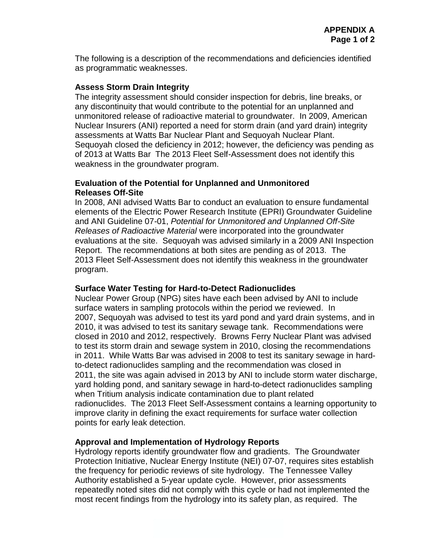The following is a description of the recommendations and deficiencies identified as programmatic weaknesses.

### **Assess Storm Drain Integrity**

The integrity assessment should consider inspection for debris, line breaks, or any discontinuity that would contribute to the potential for an unplanned and unmonitored release of radioactive material to groundwater. In 2009, American Nuclear Insurers (ANI) reported a need for storm drain (and yard drain) integrity assessments at Watts Bar Nuclear Plant and Sequoyah Nuclear Plant. Sequoyah closed the deficiency in 2012; however, the deficiency was pending as of 2013 at Watts Bar The 2013 Fleet Self-Assessment does not identify this weakness in the groundwater program.

### **Evaluation of the Potential for Unplanned and Unmonitored Releases Off-Site**

In 2008, ANI advised Watts Bar to conduct an evaluation to ensure fundamental elements of the Electric Power Research Institute (EPRI) Groundwater Guideline and ANI Guideline 07-01, *Potential for Unmonitored and Unplanned Off-Site Releases of Radioactive Material* were incorporated into the groundwater evaluations at the site. Sequoyah was advised similarly in a 2009 ANI Inspection Report. The recommendations at both sites are pending as of 2013. The 2013 Fleet Self-Assessment does not identify this weakness in the groundwater program.

## **Surface Water Testing for Hard-to-Detect Radionuclides**

Nuclear Power Group (NPG) sites have each been advised by ANI to include surface waters in sampling protocols within the period we reviewed. In 2007, Sequoyah was advised to test its yard pond and yard drain systems, and in 2010, it was advised to test its sanitary sewage tank. Recommendations were closed in 2010 and 2012, respectively. Browns Ferry Nuclear Plant was advised to test its storm drain and sewage system in 2010, closing the recommendations in 2011. While Watts Bar was advised in 2008 to test its sanitary sewage in hardto-detect radionuclides sampling and the recommendation was closed in 2011, the site was again advised in 2013 by ANI to include storm water discharge, yard holding pond, and sanitary sewage in hard-to-detect radionuclides sampling when Tritium analysis indicate contamination due to plant related radionuclides. The 2013 Fleet Self-Assessment contains a learning opportunity to improve clarity in defining the exact requirements for surface water collection points for early leak detection.

## **Approval and Implementation of Hydrology Reports**

Hydrology reports identify groundwater flow and gradients. The Groundwater Protection Initiative, Nuclear Energy Institute (NEI) 07-07, requires sites establish the frequency for periodic reviews of site hydrology. The Tennessee Valley Authority established a 5-year update cycle. However, prior assessments repeatedly noted sites did not comply with this cycle or had not implemented the most recent findings from the hydrology into its safety plan, as required. The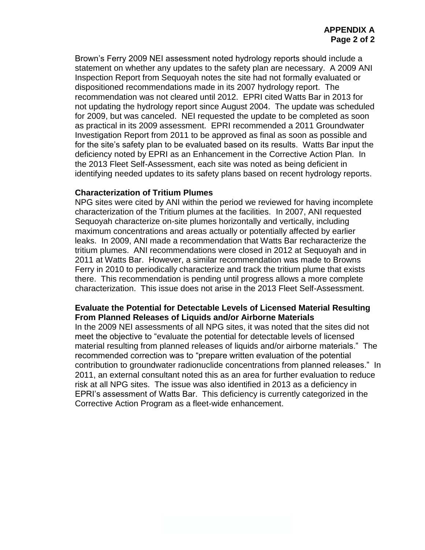Brown's Ferry 2009 NEI assessment noted hydrology reports should include a statement on whether any updates to the safety plan are necessary. A 2009 ANI Inspection Report from Sequoyah notes the site had not formally evaluated or dispositioned recommendations made in its 2007 hydrology report. The recommendation was not cleared until 2012. EPRI cited Watts Bar in 2013 for not updating the hydrology report since August 2004. The update was scheduled for 2009, but was canceled. NEI requested the update to be completed as soon as practical in its 2009 assessment. EPRI recommended a 2011 Groundwater Investigation Report from 2011 to be approved as final as soon as possible and for the site's safety plan to be evaluated based on its results. Watts Bar input the deficiency noted by EPRI as an Enhancement in the Corrective Action Plan. In the 2013 Fleet Self-Assessment, each site was noted as being deficient in identifying needed updates to its safety plans based on recent hydrology reports.

#### **Characterization of Tritium Plumes**

NPG sites were cited by ANI within the period we reviewed for having incomplete characterization of the Tritium plumes at the facilities. In 2007, ANI requested Sequoyah characterize on-site plumes horizontally and vertically, including maximum concentrations and areas actually or potentially affected by earlier leaks. In 2009, ANI made a recommendation that Watts Bar recharacterize the tritium plumes. ANI recommendations were closed in 2012 at Sequoyah and in 2011 at Watts Bar. However, a similar recommendation was made to Browns Ferry in 2010 to periodically characterize and track the tritium plume that exists there. This recommendation is pending until progress allows a more complete characterization. This issue does not arise in the 2013 Fleet Self-Assessment.

## **Evaluate the Potential for Detectable Levels of Licensed Material Resulting From Planned Releases of Liquids and/or Airborne Materials**

In the 2009 NEI assessments of all NPG sites, it was noted that the sites did not meet the objective to "evaluate the potential for detectable levels of licensed material resulting from planned releases of liquids and/or airborne materials." The recommended correction was to "prepare written evaluation of the potential contribution to groundwater radionuclide concentrations from planned releases." In 2011, an external consultant noted this as an area for further evaluation to reduce risk at all NPG sites. The issue was also identified in 2013 as a deficiency in EPRI's assessment of Watts Bar. This deficiency is currently categorized in the Corrective Action Program as a fleet-wide enhancement.